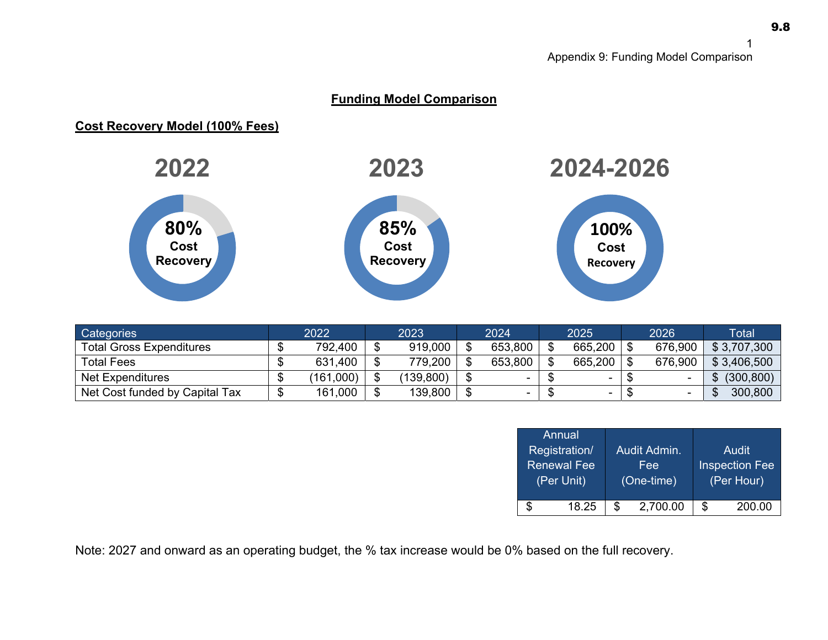## **Funding Model Comparison**

## **Cost Recovery Model (100% Fees)**



| <b>Categories</b>               | 2022      | 2023      | 2024    | 2025 |                          | 2026 |         | Total       |  |
|---------------------------------|-----------|-----------|---------|------|--------------------------|------|---------|-------------|--|
| <b>Total Gross Expenditures</b> | 792,400   | 919,000   | 653,800 |      | 665,200                  |      | 676,900 | \$3,707,300 |  |
| <b>Total Fees</b>               | 631,400   | 779,200   | 653,800 |      | 665,200                  |      | 676,900 | \$3,406,500 |  |
| <b>Net Expenditures</b>         | (161,000) | (139,800) |         |      | $\overline{\phantom{a}}$ |      |         | (300, 800)  |  |
| Net Cost funded by Capital Tax  | 161,000   | 139,800   |         |      | $\overline{\phantom{a}}$ |      |         | 300,800     |  |

| Annual,            |     |              |                       |        |  |  |
|--------------------|-----|--------------|-----------------------|--------|--|--|
| Registration/      |     | Audit Admin. |                       | Audit  |  |  |
| <b>Renewal Fee</b> |     | Fee          | <b>Inspection Fee</b> |        |  |  |
| (Per Unit)         |     | (One-time)   | (Per Hour)            |        |  |  |
|                    |     |              |                       |        |  |  |
| \$<br>18.25        | \$. | 2,700.00     | S                     | 200.00 |  |  |

Note: 2027 and onward as an operating budget, the % tax increase would be 0% based on the full recovery.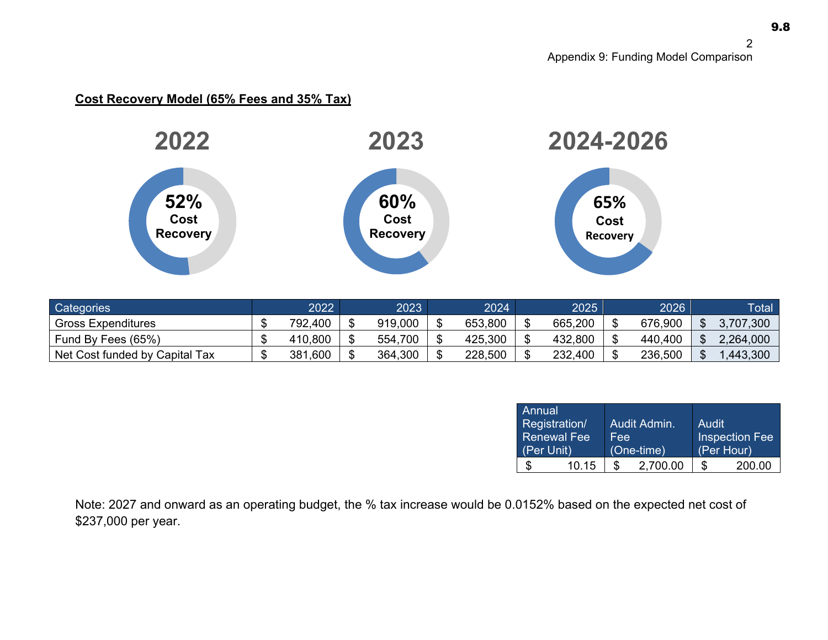## **Cost Recovery Model (65% Fees and 35% Tax)**



| Categories                     | 2022        | 2023    | 2024'   | 2025    | 2026    | <b>Total</b> |
|--------------------------------|-------------|---------|---------|---------|---------|--------------|
| <b>Gross Expenditures</b>      | 792,400     | 919,000 | 653,800 | 665,200 | 676,900 | 3,707,300    |
| Fund By Fees (65%)             | 410,800     | 554,700 | 425,300 | 432,800 | 440,400 | 2,264,000    |
| Net Cost funded by Capital Tax | .600<br>381 | 364,300 | 228,500 | 232,400 | 236,500 | 1,443,300    |

| Annual<br>(Per Unit) | Registration/<br><b>Renewal Fee</b> | <b>Fee</b> | Audit Admin.<br>$(One-time)$ | Audit | <b>Inspection Fee</b><br>(Per Hour) |
|----------------------|-------------------------------------|------------|------------------------------|-------|-------------------------------------|
|                      | 10.15                               | \$         | 2,700.00                     | S     | 200.00                              |

Note: 2027 and onward as an operating budget, the % tax increase would be 0.0152% based on the expected net cost of \$237,000 per year.